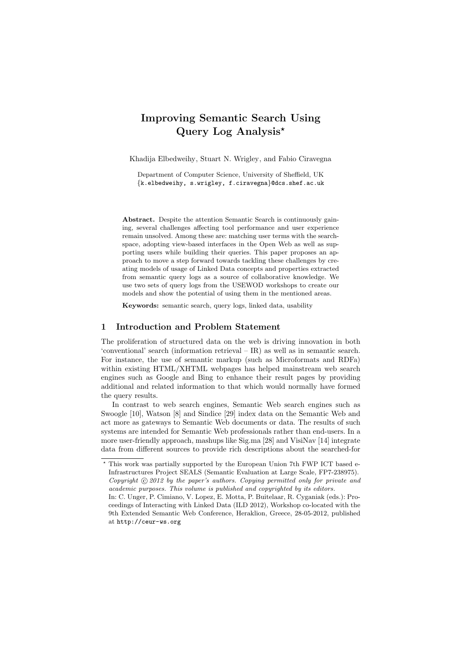# Improving Semantic Search Using Query Log Analysis�

Khadija Elbedweihy, Stuart N. Wrigley, and Fabio Ciravegna

Department of Computer Science, University of Sheffield, UK {k.elbedweihy, s.wrigley, f.ciravegna}@dcs.shef.ac.uk

Abstract. Despite the attention Semantic Search is continuously gaining, several challenges affecting tool performance and user experience remain unsolved. Among these are: matching user terms with the searchspace, adopting view-based interfaces in the Open Web as well as supporting users while building their queries. This paper proposes an approach to move a step forward towards tackling these challenges by creating models of usage of Linked Data concepts and properties extracted from semantic query logs as a source of collaborative knowledge. We use two sets of query logs from the USEWOD workshops to create our models and show the potential of using them in the mentioned areas.

Keywords: semantic search, query logs, linked data, usability

# 1 Introduction and Problem Statement

The proliferation of structured data on the web is driving innovation in both 'conventional' search (information retrieval – IR) as well as in semantic search. For instance, the use of semantic markup (such as Microformats and RDFa) within existing HTML/XHTML webpages has helped mainstream web search engines such as Google and Bing to enhance their result pages by providing additional and related information to that which would normally have formed the query results.

In contrast to web search engines, Semantic Web search engines such as Swoogle [10], Watson [8] and Sindice [29] index data on the Semantic Web and act more as gateways to Semantic Web documents or data. The results of such systems are intended for Semantic Web professionals rather than end-users. In a more user-friendly approach, mashups like Sig.ma [28] and VisiNav [14] integrate data from different sources to provide rich descriptions about the searched-for

<sup>�</sup> This work was partially supported by the European Union 7th FWP ICT based e-Infrastructures Project SEALS (Semantic Evaluation at Large Scale, FP7-238975). Copyright  $Q$  2012 by the paper's authors. Copying permitted only for private and academic purposes. This volume is published and copyrighted by its editors. In: C. Unger, P. Cimiano, V. Lopez, E. Motta, P. Buitelaar, R. Cyganiak (eds.): Proceedings of Interacting with Linked Data (ILD 2012), Workshop co-located with the 9th Extended Semantic Web Conference, Heraklion, Greece, 28-05-2012, published at http://ceur-ws.org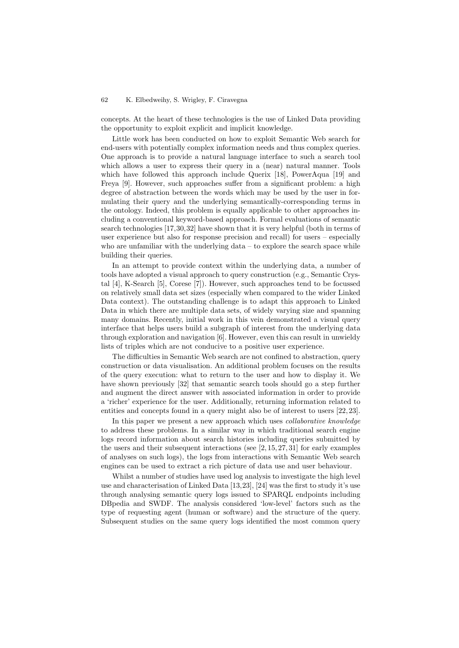concepts. At the heart of these technologies is the use of Linked Data providing the opportunity to exploit explicit and implicit knowledge.

Little work has been conducted on how to exploit Semantic Web search for end-users with potentially complex information needs and thus complex queries. One approach is to provide a natural language interface to such a search tool which allows a user to express their query in a (near) natural manner. Tools which have followed this approach include Querix [18], PowerAqua [19] and Freya [9]. However, such approaches suffer from a significant problem: a high degree of abstraction between the words which may be used by the user in formulating their query and the underlying semantically-corresponding terms in the ontology. Indeed, this problem is equally applicable to other approaches including a conventional keyword-based approach. Formal evaluations of semantic search technologies [17,30,32] have shown that it is very helpful (both in terms of user experience but also for response precision and recall) for users – especially who are unfamiliar with the underlying  $data - to$  explore the search space while building their queries.

In an attempt to provide context within the underlying data, a number of tools have adopted a visual approach to query construction (e.g., Semantic Crystal [4], K-Search [5], Corese [7]). However, such approaches tend to be focussed on relatively small data set sizes (especially when compared to the wider Linked Data context). The outstanding challenge is to adapt this approach to Linked Data in which there are multiple data sets, of widely varying size and spanning many domains. Recently, initial work in this vein demonstrated a visual query interface that helps users build a subgraph of interest from the underlying data through exploration and navigation [6]. However, even this can result in unwieldy lists of triples which are not conducive to a positive user experience.

The difficulties in Semantic Web search are not confined to abstraction, query construction or data visualisation. An additional problem focuses on the results of the query execution: what to return to the user and how to display it. We have shown previously [32] that semantic search tools should go a step further and augment the direct answer with associated information in order to provide a 'richer' experience for the user. Additionally, returning information related to entities and concepts found in a query might also be of interest to users [22, 23].

In this paper we present a new approach which uses *collaborative knowledge* to address these problems. In a similar way in which traditional search engine logs record information about search histories including queries submitted by the users and their subsequent interactions (see [2, 15, 27, 31] for early examples of analyses on such logs), the logs from interactions with Semantic Web search engines can be used to extract a rich picture of data use and user behaviour.

Whilst a number of studies have used log analysis to investigate the high level use and characterisation of Linked Data [13,23], [24] was the first to study it's use through analysing semantic query logs issued to SPARQL endpoints including DBpedia and SWDF. The analysis considered 'low-level' factors such as the type of requesting agent (human or software) and the structure of the query. Subsequent studies on the same query logs identified the most common query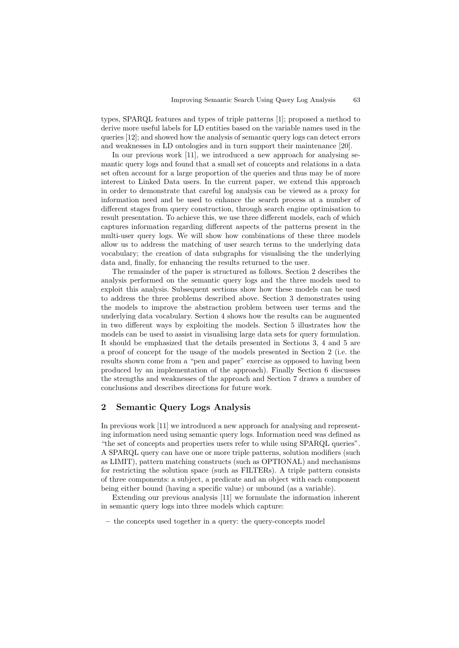types, SPARQL features and types of triple patterns [1]; proposed a method to derive more useful labels for LD entities based on the variable names used in the queries [12]; and showed how the analysis of semantic query logs can detect errors and weaknesses in LD ontologies and in turn support their maintenance [20].

In our previous work [11], we introduced a new approach for analysing semantic query logs and found that a small set of concepts and relations in a data set often account for a large proportion of the queries and thus may be of more interest to Linked Data users. In the current paper, we extend this approach in order to demonstrate that careful log analysis can be viewed as a proxy for information need and be used to enhance the search process at a number of different stages from query construction, through search engine optimisation to result presentation. To achieve this, we use three different models, each of which captures information regarding different aspects of the patterns present in the multi-user query logs. We will show how combinations of these three models allow us to address the matching of user search terms to the underlying data vocabulary; the creation of data subgraphs for visualising the the underlying data and, finally, for enhancing the results returned to the user.

The remainder of the paper is structured as follows. Section 2 describes the analysis performed on the semantic query logs and the three models used to exploit this analysis. Subsequent sections show how these models can be used to address the three problems described above. Section 3 demonstrates using the models to improve the abstraction problem between user terms and the underlying data vocabulary. Section 4 shows how the results can be augmented in two different ways by exploiting the models. Section 5 illustrates how the models can be used to assist in visualising large data sets for query formulation. It should be emphasized that the details presented in Sections 3, 4 and 5 are a proof of concept for the usage of the models presented in Section 2 (i.e. the results shown come from a "pen and paper" exercise as opposed to having been produced by an implementation of the approach). Finally Section 6 discusses the strengths and weaknesses of the approach and Section 7 draws a number of conclusions and describes directions for future work.

# 2 Semantic Query Logs Analysis

In previous work [11] we introduced a new approach for analysing and representing information need using semantic query logs. Information need was defined as "the set of concepts and properties users refer to while using SPARQL queries". A SPARQL query can have one or more triple patterns, solution modifiers (such as LIMIT), pattern matching constructs (such as OPTIONAL) and mechanisms for restricting the solution space (such as FILTERs). A triple pattern consists of three components: a subject, a predicate and an object with each component being either bound (having a specific value) or unbound (as a variable).

Extending our previous analysis [11] we formulate the information inherent in semantic query logs into three models which capture:

– the concepts used together in a query: the query-concepts model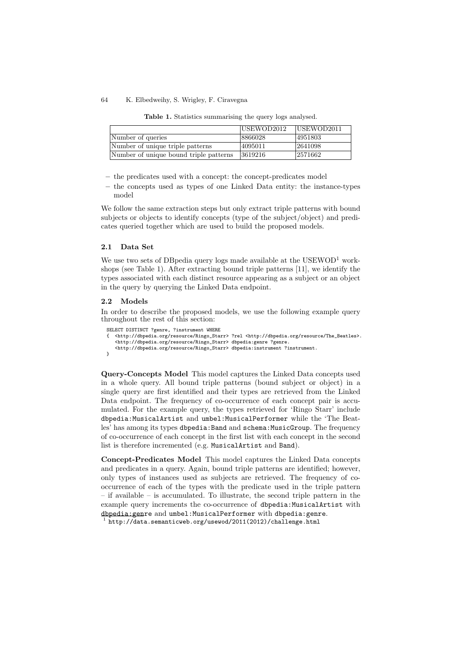| Table 1. Statistics summarising the query logs analysed |  |
|---------------------------------------------------------|--|
|---------------------------------------------------------|--|

|                                        | USEWOD2012 | USEWOD2011 |
|----------------------------------------|------------|------------|
| Number of queries                      | 8866028    | 4951803    |
| Number of unique triple patterns       | 4095011    | 2641098    |
| Number of unique bound triple patterns | 3619216    | 2571662    |

- the predicates used with a concept: the concept-predicates model
- the concepts used as types of one Linked Data entity: the instance-types model

We follow the same extraction steps but only extract triple patterns with bound subjects or objects to identify concepts (type of the subject/object) and predicates queried together which are used to build the proposed models.

### 2.1 Data Set

We use two sets of DB pedia query logs made available at the  $USEWOD<sup>1</sup>$  workshops (see Table 1). After extracting bound triple patterns [11], we identify the types associated with each distinct resource appearing as a subject or an object in the query by querying the Linked Data endpoint.

#### 2.2 Models

In order to describe the proposed models, we use the following example query throughout the rest of this section:

```
SELECT DISTINCT ?genre, ?instrument WHERE
{ <http://dbpedia.org/resource/Ringo_Starr> ?rel <http://dbpedia.org/resource/The_Beatles>.
   <http://dbpedia.org/resource/Ringo_Starr> dbpedia:genre ?genre.
   <http://dbpedia.org/resource/Ringo_Starr> dbpedia:instrument ?instrument.
\overline{1}
```
Query-Concepts Model This model captures the Linked Data concepts used in a whole query. All bound triple patterns (bound subject or object) in a single query are first identified and their types are retrieved from the Linked Data endpoint. The frequency of co-occurrence of each concept pair is accumulated. For the example query, the types retrieved for 'Ringo Starr' include dbpedia:MusicalArtist and umbel:MusicalPerformer while the 'The Beatles' has among its types dbpedia: Band and schema: MusicGroup. The frequency of co-occurrence of each concept in the first list with each concept in the second list is therefore incremented (e.g. MusicalArtist and Band).

Concept-Predicates Model This model captures the Linked Data concepts and predicates in a query. Again, bound triple patterns are identified; however, only types of instances used as subjects are retrieved. The frequency of cooccurrence of each of the types with the predicate used in the triple pattern – if available – is accumulated. To illustrate, the second triple pattern in the example query increments the co-occurrence of dbpedia:MusicalArtist with dbpedia:genre and umbel:MusicalPerformer with dbpedia:genre.<br> $1$  http://data.semanticweb.org/usewod/2011(2012)/challenge.html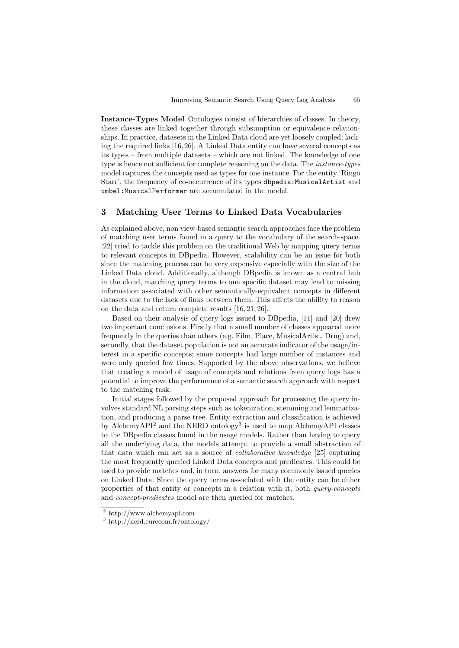Instance-Types Model Ontologies consist of hierarchies of classes. In theory, these classes are linked together through subsumption or equivalence relationships. In practice, datasets in the Linked Data cloud are yet loosely coupled; lacking the required links [16,26]. A Linked Data entity can have several concepts as its types – from multiple datasets – which are not linked. The knowledge of one type is hence not sufficient for complete reasoning on the data. The *instance-types* model captures the concepts used as types for one instance. For the entity 'Ringo Starr', the frequency of co-occurrence of its types dbpedia: MusicalArtist and umbel:MusicalPerformer are accumulated in the model.

## 3 Matching User Terms to Linked Data Vocabularies

As explained above, non view-based semantic search approaches face the problem of matching user terms found in a query to the vocabulary of the search-space. [22] tried to tackle this problem on the traditional Web by mapping query terms to relevant concepts in DBpedia. However, scalability can be an issue for both since the matching process can be very expensive especially with the size of the Linked Data cloud. Additionally, although DBpedia is known as a central hub in the cloud, matching query terms to one specific dataset may lead to missing information associated with other semantically-equivalent concepts in different datasets due to the lack of links between them. This affects the ability to reason on the data and return complete results [16, 21, 26].

Based on their analysis of query logs issued to DBpedia, [11] and [20] drew two important conclusions. Firstly that a small number of classes appeared more frequently in the queries than others (e.g. Film, Place, MusicalArtist, Drug) and, secondly, that the dataset population is not an accurate indicator of the usage/interest in a specific concepts; some concepts had large number of instances and were only queried few times. Supported by the above observations, we believe that creating a model of usage of concepts and relations from query logs has a potential to improve the performance of a semantic search approach with respect to the matching task.

Initial stages followed by the proposed approach for processing the query involves standard NL parsing steps such as tokenization, stemming and lemmatization, and producing a parse tree. Entity extraction and classification is achieved by AlchemyAPI<sup>2</sup> and the NERD ontology<sup>3</sup> is used to map AlchemyAPI classes to the DBpedia classes found in the usage models. Rather than having to query all the underlying data, the models attempt to provide a small abstraction of that data which can act as a source of collaborative knowledge [25] capturing the most frequently queried Linked Data concepts and predicates. This could be used to provide matches and, in turn, answers for many commonly issued queries on Linked Data. Since the query terms associated with the entity can be either properties of that entity or concepts in a relation with it, both query-concepts and concept-predicates model are then queried for matches.

<sup>2</sup> http://www.alchemyapi.com

<sup>3</sup> http://nerd.eurecom.fr/ontology/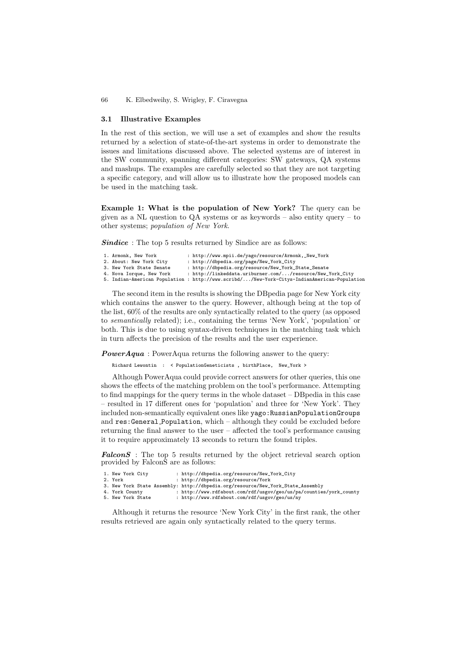### 3.1 Illustrative Examples

In the rest of this section, we will use a set of examples and show the results returned by a selection of state-of-the-art systems in order to demonstrate the issues and limitations discussed above. The selected systems are of interest in the SW community, spanning different categories: SW gateways, QA systems and mashups. The examples are carefully selected so that they are not targeting a specific category, and will allow us to illustrate how the proposed models can be used in the matching task.

Example 1: What is the population of New York? The query can be given as a NL question to  $QA$  systems or as keywords – also entity query – to other systems; population of New York.

Sindice: The top 5 results returned by Sindice are as follows:

| 1. Armonk, New York      | : http://www.mpii.de/yago/resource/Armonk,_New_York                                         |
|--------------------------|---------------------------------------------------------------------------------------------|
| 2. About: New York City  | : http://dbpedia.org/page/New_York_City                                                     |
| 3. New York State Senate | : http://dbpedia.org/resource/New_York_State_Senate                                         |
| 4. Nova Iorque, New York | : http://linkeddata.uriburner.com//resource/New_York_City                                   |
|                          | 5. Indian-American Population : http://www.scribd//New-York-Citys-IndianAmerican-Population |

The second item in the results is showing the DBpedia page for New York city which contains the answer to the query. However, although being at the top of the list, 60% of the results are only syntactically related to the query (as opposed to semantically related); i.e., containing the terms 'New York', 'population' or both. This is due to using syntax-driven techniques in the matching task which in turn affects the precision of the results and the user experience.

**PowerAqua**: PowerAqua returns the following answer to the query:

Richard Lewontin : < PopulationGeneticists , birthPlace, New\_York >

Although PowerAqua could provide correct answers for other queries, this one shows the effects of the matching problem on the tool's performance. Attempting to find mappings for the query terms in the whole dataset – DBpedia in this case – resulted in 17 different ones for 'population' and three for 'New York'. They included non-semantically equivalent ones like yago:RussianPopulationGroups and res:General Population, which – although they could be excluded before returning the final answer to the user – affected the tool's performance causing it to require approximately 13 seconds to return the found triples.

 $FalconS$ : The top 5 results returned by the object retrieval search option provided by FalconS are as follows:

| 1. New York City  | : http://dbpedia.org/resource/New_York_City                                     |
|-------------------|---------------------------------------------------------------------------------|
| 2. York           | : http://dbpedia.org/resource/York                                              |
|                   | 3. New York State Assembly: http://dbpedia.org/resource/New_York_State_Assembly |
| 4. York County    | : http://www.rdfabout.com/rdf/usgov/geo/us/pa/counties/york_county              |
| 5. New York State | : http://www.rdfabout.com/rdf/usgov/geo/us/ny                                   |
|                   |                                                                                 |

Although it returns the resource 'New York City' in the first rank, the other results retrieved are again only syntactically related to the query terms.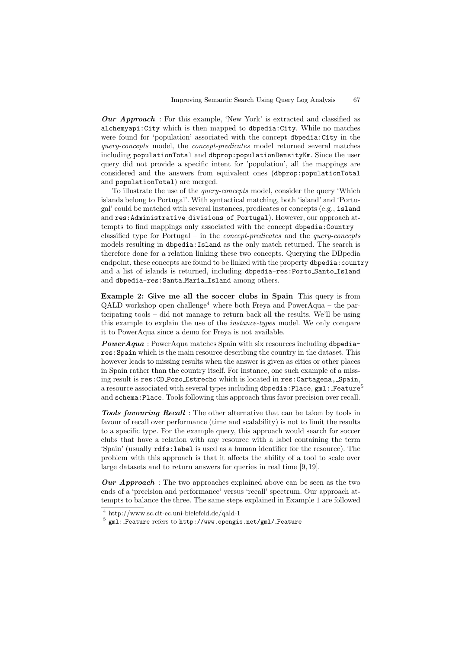Our Approach : For this example, 'New York' is extracted and classified as alchemyapi:City which is then mapped to dbpedia:City. While no matches were found for 'population' associated with the concept dbpedia:City in the query-concepts model, the concept-predicates model returned several matches including populationTotal and dbprop:populationDensityKm. Since the user query did not provide a specific intent for 'population', all the mappings are considered and the answers from equivalent ones (dbprop:populationTotal and populationTotal) are merged.

To illustrate the use of the query-concepts model, consider the query 'Which islands belong to Portugal'. With syntactical matching, both 'island' and 'Portugal' could be matched with several instances, predicates or concepts (e.g., island and res:Administrative divisions of Portugal). However, our approach attempts to find mappings only associated with the concept dbpedia: Country  $$ classified type for Portugal – in the concept-predicates and the query-concepts models resulting in dbpedia:Island as the only match returned. The search is therefore done for a relation linking these two concepts. Querying the DBpedia endpoint, these concepts are found to be linked with the property dbpedia: country and a list of islands is returned, including dbpedia-res:Porto Santo Island and dbpedia-res:Santa Maria Island among others.

Example 2: Give me all the soccer clubs in Spain This query is from  $QALD$  workshop open challenge<sup>4</sup> where both Freya and PowerAqua – the participating tools – did not manage to return back all the results. We'll be using this example to explain the use of the instance-types model. We only compare it to PowerAqua since a demo for Freya is not available.

PowerAqua : PowerAqua matches Spain with six resources including dbpediares:Spain which is the main resource describing the country in the dataset. This however leads to missing results when the answer is given as cities or other places in Spain rather than the country itself. For instance, one such example of a missing result is res:CD Pozo Estrecho which is located in res:Cartagena, Spain, a resource associated with several types including dbpedia: Place, gml: Feature<sup>5</sup> and schema:Place. Tools following this approach thus favor precision over recall.

Tools favouring Recall : The other alternative that can be taken by tools in favour of recall over performance (time and scalability) is not to limit the results to a specific type. For the example query, this approach would search for soccer clubs that have a relation with any resource with a label containing the term 'Spain' (usually rdfs:label is used as a human identifier for the resource). The problem with this approach is that it affects the ability of a tool to scale over large datasets and to return answers for queries in real time [9, 19].

Our Approach: The two approaches explained above can be seen as the two ends of a 'precision and performance' versus 'recall' spectrum. Our approach attempts to balance the three. The same steps explained in Example 1 are followed

<sup>4</sup> http://www.sc.cit-ec.uni-bielefeld.de/qald-1

 $5$  gml: Feature refers to http://www.opengis.net/gml/ Feature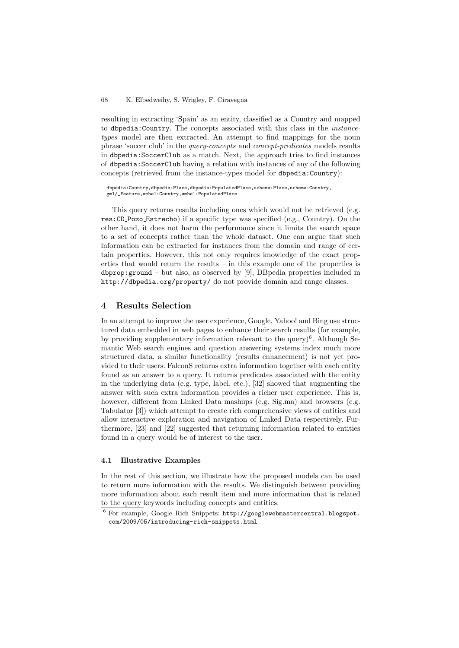resulting in extracting 'Spain' as an entity, classified as a Country and mapped to dbpedia:Country. The concepts associated with this class in the instancetypes model are then extracted. An attempt to find mappings for the noun phrase 'soccer club' in the query-concepts and concept-predicates models results in dbpedia:SoccerClub as a match. Next, the approach tries to find instances of dbpedia:SoccerClub having a relation with instances of any of the following concepts (retrieved from the instance-types model for dbpedia:Country):

dbpedia:Country,dbpedia:Place,dbpedia:PopulatedPlace,schema:Place,schema:Country, gml/\_Feature,umbel:Country,umbel:PopulatedPlace

This query returns results including ones which would not be retrieved (e.g. res:CD Pozo Estrecho) if a specific type was specified (e.g., Country). On the other hand, it does not harm the performance since it limits the search space to a set of concepts rather than the whole dataset. One can argue that such information can be extracted for instances from the domain and range of certain properties. However, this not only requires knowledge of the exact properties that would return the results – in this example one of the properties is  $dbprop:ground - but also, as observed by [9], DBpedia properties included in$ http://dbpedia.org/property/ do not provide domain and range classes.

# 4 Results Selection

In an attempt to improve the user experience, Google, Yahoo! and Bing use structured data embedded in web pages to enhance their search results (for example, by providing supplementary information relevant to the query) $6$ . Although Semantic Web search engines and question answering systems index much more structured data, a similar functionality (results enhancement) is not yet provided to their users. FalconS returns extra information together with each entity found as an answer to a query. It returns predicates associated with the entity in the underlying data (e.g. type, label, etc.); [32] showed that augmenting the answer with such extra information provides a richer user experience. This is, however, different from Linked Data mashups (e.g. Sig.ma) and browsers (e.g. Tabulator [3]) which attempt to create rich comprehensive views of entities and allow interactive exploration and navigation of Linked Data respectively. Furthermore, [23] and [22] suggested that returning information related to entities found in a query would be of interest to the user.

### 4.1 Illustrative Examples

In the rest of this section, we illustrate how the proposed models can be used to return more information with the results. We distinguish between providing more information about each result item and more information that is related to the query keywords including concepts and entities.

 $^6$  For example, Google Rich Snippets:  ${\tt http://googlewebmastercentral.blogspot}.$ com/2009/05/introducing-rich-snippets.html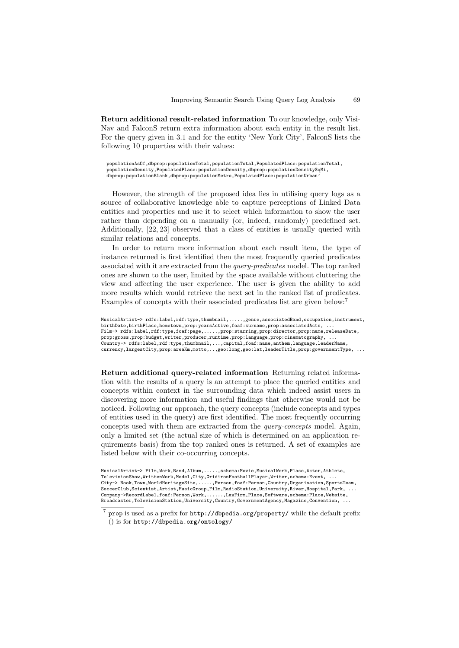Return additional result-related information To our knowledge, only Visi-Nav and FalconS return extra information about each entity in the result list. For the query given in 3.1 and for the entity 'New York City', FalconS lists the following 10 properties with their values:

populationAsOf,dbprop:populationTotal,populationTotal,PopulatedPlace:populationTotal, populationDensity,PopulatedPlace:populationDensity,dbprop:populationDensitySqMi, dbprop:populationBlank,dbprop:populationMetro,PopulatedPlace:populationUrban'

However, the strength of the proposed idea lies in utilising query logs as a source of collaborative knowledge able to capture perceptions of Linked Data entities and properties and use it to select which information to show the user rather than depending on a manually (or, indeed, randomly) predefined set. Additionally, [22, 23] observed that a class of entities is usually queried with similar relations and concepts.

In order to return more information about each result item, the type of instance returned is first identified then the most frequently queried predicates associated with it are extracted from the query-predicates model. The top ranked ones are shown to the user, limited by the space available without cluttering the view and affecting the user experience. The user is given the ability to add more results which would retrieve the next set in the ranked list of predicates. Examples of concepts with their associated predicates list are given below:<sup>7</sup>

MusicalArtist-> rdfs:label,rdf:type,thumbnail,.....,genre,associatedBand,occupation,instrument, birthDate,birthPlace,hometown,prop:yearsActive,foaf:surname,prop:associatedActs, . Film-> rdfs:label,rdf:type,foaf:page,.....,prop:starring,prop:director,prop:name,releaseDate, prop:gross,prop:budget,writer,producer,runtime,prop:language,prop:cinematography, ... Country-> rdfs:label,rdf:type,thumbnail,...,capital,foaf:name,anthem,language,leaderName, currency,largestCity,prop:areaKm,motto,..,geo:long,geo:lat,leaderTitle,prop:governmentType, ...

Return additional query-related information Returning related information with the results of a query is an attempt to place the queried entities and concepts within context in the surrounding data which indeed assist users in discovering more information and useful findings that otherwise would not be noticed. Following our approach, the query concepts (include concepts and types of entities used in the query) are first identified. The most frequently occurring concepts used with them are extracted from the query-concepts model. Again, only a limited set (the actual size of which is determined on an application requirements basis) from the top ranked ones is returned. A set of examples are listed below with their co-occurring concepts.

MusicalArtist-> Film,Work,Band,Album,.....,schema:Movie,MusicalWork,Place,Actor,Athlete, TelevisionShow,WrittenWork,Model,City,GridironFootballPlayer,Writer,schema:Event, ... City-> Book,Town,WorldHeritageSite,.....,Person,foaf:Person,Country,Organisation,SportsTeam, SoccerClub, Scientist, Artist, MusicGroup, Film, RadioStation, University, River, Hospital, Park, .. Company->RecordLabel,foaf:Person,Work,......,LawFirm,Place,Software,schema:Place,Website, Broadcaster,TelevisionStation,University,Country,GovernmentAgency,Magazine,Convention, ...

<sup>7</sup> prop is used as a prefix for http://dbpedia.org/property/ while the default prefix () is for http://dbpedia.org/ontology/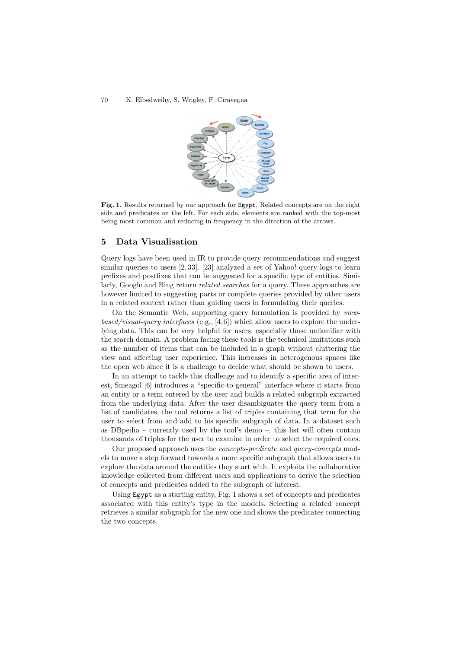

Fig. 1. Results returned by our approach for Egypt. Related concepts are on the right side and predicates on the left. For each side, elements are ranked with the top-most being most common and reducing in frequency in the direction of the arrows.

## 5 Data Visualisation

Query logs have been used in IR to provide query recommendations and suggest similar queries to users [2, 33]. [23] analyzed a set of Yahoo! query logs to learn prefixes and postfixes that can be suggested for a specific type of entities. Similarly, Google and Bing return *related searches* for a query. These approaches are however limited to suggesting parts or complete queries provided by other users in a related context rather than guiding users in formulating their queries.

On the Semantic Web, supporting query formulation is provided by viewbased/visual-query interfaces (e.g.,  $[4,6]$ ) which allow users to explore the underlying data. This can be very helpful for users, especially those unfamiliar with the search domain. A problem facing these tools is the technical limitations such as the number of items that can be included in a graph without cluttering the view and affecting user experience. This increases in heterogenous spaces like the open web since it is a challenge to decide what should be shown to users.

In an attempt to tackle this challenge and to identify a specific area of interest, Smeagol [6] introduces a "specific-to-general" interface where it starts from an entity or a term entered by the user and builds a related subgraph extracted from the underlying data. After the user disambiguates the query term from a list of candidates, the tool returns a list of triples containing that term for the user to select from and add to his specific subgraph of data. In a dataset such as DB pedia – currently used by the tool's demo –, this list will often contain thousands of triples for the user to examine in order to select the required ones.

Our proposed approach uses the concepts-predicate and query-concepts models to move a step forward towards a more specific subgraph that allows users to explore the data around the entities they start with. It exploits the collaborative knowledge collected from different users and applications to derive the selection of concepts and predicates added to the subgraph of interest.

Using **Egypt** as a starting entity, Fig. 1 shows a set of concepts and predicates associated with this entity's type in the models. Selecting a related concept retrieves a similar subgraph for the new one and shows the predicates connecting the two concepts.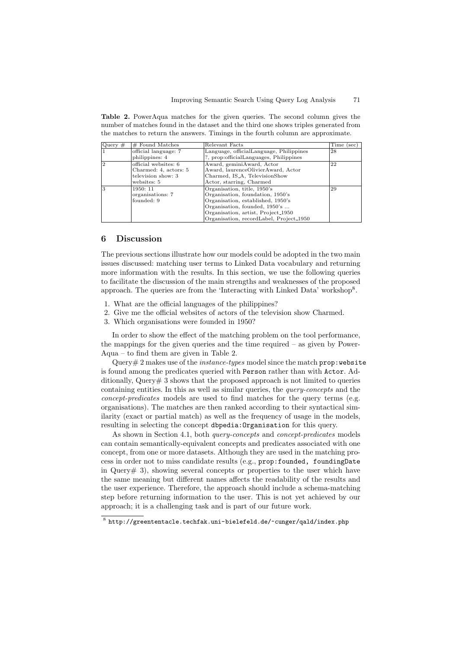Table 2. PowerAqua matches for the given queries. The second column gives the number of matches found in the dataset and the third one shows triples generated from the matches to return the answers. Timings in the fourth column are approximate.

| Query $#$ | $#$ Found Matches     | Relevant Facts                                 | Time (sec) |
|-----------|-----------------------|------------------------------------------------|------------|
|           | official language: 7  | Language, officialLanguage, Philippines        | 28         |
|           | philippines: 4        | ?, prop:officialLanguages, Philippines         |            |
| 2         | official websites: 6  | Award, geminiAward, Actor                      | 22         |
|           | Charmed: 4, actors: 5 | Award, laurenceOlivierAward, Actor             |            |
|           | television show: 3    | Charmed, IS_A, TelevisionShow                  |            |
|           | websites: 5           | Actor, starring, Charmed                       |            |
| З         | 1950: 11              | Organisation, title, 1950's                    | 29         |
|           | organisations: 7      | Organisation, foundation, 1950's               |            |
|           | founded: 9            | Organisation, established, 1950's              |            |
|           |                       | Organisation, founded, 1950's                  |            |
|           |                       | Organisation, artist, Project <sub>-1950</sub> |            |
|           |                       | Organisation, recordLabel, Project_1950        |            |

## 6 Discussion

The previous sections illustrate how our models could be adopted in the two main issues discussed: matching user terms to Linked Data vocabulary and returning more information with the results. In this section, we use the following queries to facilitate the discussion of the main strengths and weaknesses of the proposed approach. The queries are from the 'Interacting with Linked Data' workshop<sup>8</sup>.

- 1. What are the official languages of the philippines?
- 2. Give me the official websites of actors of the television show Charmed.
- 3. Which organisations were founded in 1950?

In order to show the effect of the matching problem on the tool performance, the mappings for the given queries and the time required – as given by Power-Aqua – to find them are given in Table 2.

Query  $\#$  2 makes use of the *instance-types* model since the match prop: website is found among the predicates queried with Person rather than with Actor. Additionally, Query# 3 shows that the proposed approach is not limited to queries containing entities. In this as well as similar queries, the query-concepts and the concept-predicates models are used to find matches for the query terms (e.g. organisations). The matches are then ranked according to their syntactical similarity (exact or partial match) as well as the frequency of usage in the models, resulting in selecting the concept dbpedia:Organisation for this query.

As shown in Section 4.1, both *query-concepts* and *concept-predicates* models can contain semantically-equivalent concepts and predicates associated with one concept, from one or more datasets. Although they are used in the matching process in order not to miss candidate results (e.g., prop:founded, foundingDate in Query  $\#$  3), showing several concepts or properties to the user which have the same meaning but different names affects the readability of the results and the user experience. Therefore, the approach should include a schema-matching step before returning information to the user. This is not yet achieved by our approach; it is a challenging task and is part of our future work.

<sup>8</sup> http://greententacle.techfak.uni-bielefeld.de/~cunger/qald/index.php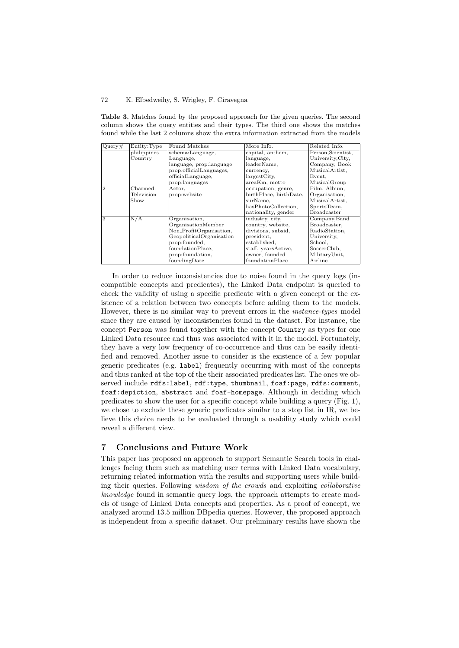|               | Entity:Type                   | Found Matches            | More Info.             | Related Info.      |
|---------------|-------------------------------|--------------------------|------------------------|--------------------|
| Query#        |                               |                          |                        |                    |
|               | philippines                   | schema:Language,         | capital, anthem,       | Person, Scientist, |
|               | Country                       | Language,                | language,              | University, City,  |
|               |                               | language, prop:language  | leaderName.            | Company, Book      |
|               |                               | prop:officialLanguages,  | currency,              | MusicalArtist,     |
|               |                               | officialLanguage,        | largestCity,           | Event,             |
|               |                               | prop:languages           | areaKm, motto          | MusicalGroup       |
| $\mathcal{D}$ | $\overline{\text{Charmed}}$ : | Actor,                   | occupation, genre,     | Film, Album,       |
|               | Television-                   | prop:website             | birthPlace, birthDate, | Organisation,      |
|               | Show                          |                          | surName,               | MusicalArtist,     |
|               |                               |                          | hasPhotoCollection,    | SportsTeam,        |
|               |                               |                          | nationality, gender    | <b>Broadcaster</b> |
| 3             | N/A                           | Organisation,            | industry, city,        | Company, Band      |
|               |                               | OrganisationMember       | country, website,      | Broadcaster,       |
|               |                               | Non_ProfitOrganisation,  | divisions, subsid,     | RadioStation.      |
|               |                               | GeopoliticalOrganisation | president,             | University,        |
|               |                               | prop:founded,            | established,           | School.            |
|               |                               | foundationPlace,         | staff, yearsActive,    | SoccerClub.        |
|               |                               | prop:foundation,         | owner, founded         | MilitaryUnit,      |
|               |                               | foundingDate             | foundationPlace        | Airline            |

Table 3. Matches found by the proposed approach for the given queries. The second column shows the query entities and their types. The third one shows the matches found while the last 2 columns show the extra information extracted from the models

In order to reduce inconsistencies due to noise found in the query logs (incompatible concepts and predicates), the Linked Data endpoint is queried to check the validity of using a specific predicate with a given concept or the existence of a relation between two concepts before adding them to the models. However, there is no similar way to prevent errors in the instance-types model since they are caused by inconsistencies found in the dataset. For instance, the concept Person was found together with the concept Country as types for one Linked Data resource and thus was associated with it in the model. Fortunately, they have a very low frequency of co-occurrence and thus can be easily identified and removed. Another issue to consider is the existence of a few popular generic predicates (e.g. label) frequently occurring with most of the concepts and thus ranked at the top of the their associated predicates list. The ones we observed include rdfs:label, rdf:type, thumbnail, foaf:page, rdfs:comment, foaf:depiction, abstract and foaf-homepage. Although in deciding which predicates to show the user for a specific concept while building a query (Fig. 1), we chose to exclude these generic predicates similar to a stop list in IR, we believe this choice needs to be evaluated through a usability study which could reveal a different view.

### 7 Conclusions and Future Work

This paper has proposed an approach to support Semantic Search tools in challenges facing them such as matching user terms with Linked Data vocabulary, returning related information with the results and supporting users while building their queries. Following wisdom of the crowds and exploiting collaborative knowledge found in semantic query logs, the approach attempts to create models of usage of Linked Data concepts and properties. As a proof of concept, we analyzed around 13.5 million DBpedia queries. However, the proposed approach is independent from a specific dataset. Our preliminary results have shown the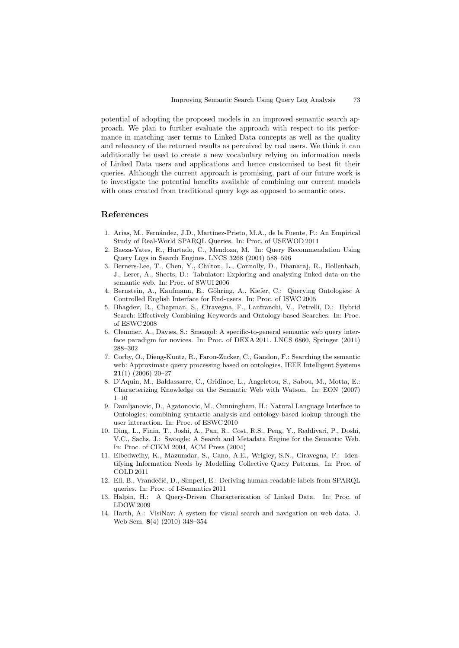potential of adopting the proposed models in an improved semantic search approach. We plan to further evaluate the approach with respect to its performance in matching user terms to Linked Data concepts as well as the quality and relevancy of the returned results as perceived by real users. We think it can additionally be used to create a new vocabulary relying on information needs of Linked Data users and applications and hence customised to best fit their queries. Although the current approach is promising, part of our future work is to investigate the potential benefits available of combining our current models with ones created from traditional query logs as opposed to semantic ones.

# References

- 1. Arias, M., Fern´andez, J.D., Mart´ınez-Prieto, M.A., de la Fuente, P.: An Empirical Study of Real-World SPARQL Queries. In: Proc. of USEWOD 2011
- 2. Baeza-Yates, R., Hurtado, C., Mendoza, M. In: Query Recommendation Using Query Logs in Search Engines. LNCS 3268 (2004) 588–596
- 3. Berners-Lee, T., Chen, Y., Chilton, L., Connolly, D., Dhanaraj, R., Hollenbach, J., Lerer, A., Sheets, D.: Tabulator: Exploring and analyzing linked data on the semantic web. In: Proc. of SWUI 2006
- 4. Bernstein, A., Kaufmann, E., Göhring, A., Kiefer, C.: Querying Ontologies: A Controlled English Interface for End-users. In: Proc. of ISWC 2005
- 5. Bhagdev, R., Chapman, S., Ciravegna, F., Lanfranchi, V., Petrelli, D.: Hybrid Search: Effectively Combining Keywords and Ontology-based Searches. In: Proc. of ESWC 2008
- 6. Clemmer, A., Davies, S.: Smeagol: A specific-to-general semantic web query interface paradigm for novices. In: Proc. of DEXA 2011. LNCS 6860, Springer (2011) 288–302
- 7. Corby, O., Dieng-Kuntz, R., Faron-Zucker, C., Gandon, F.: Searching the semantic web: Approximate query processing based on ontologies. IEEE Intelligent Systems  $21(1)$  (2006) 20-27
- 8. D'Aquin, M., Baldassarre, C., Gridinoc, L., Angeletou, S., Sabou, M., Motta, E.: Characterizing Knowledge on the Semantic Web with Watson. In: EON (2007)  $1 - 10$
- 9. Damljanovic, D., Agatonovic, M., Cunningham, H.: Natural Language Interface to Ontologies: combining syntactic analysis and ontology-based lookup through the user interaction. In: Proc. of ESWC 2010
- 10. Ding, L., Finin, T., Joshi, A., Pan, R., Cost, R.S., Peng, Y., Reddivari, P., Doshi, V.C., Sachs, J.: Swoogle: A Search and Metadata Engine for the Semantic Web. In: Proc. of CIKM 2004, ACM Press (2004)
- 11. Elbedweihy, K., Mazumdar, S., Cano, A.E., Wrigley, S.N., Ciravegna, F.: Identifying Information Needs by Modelling Collective Query Patterns. In: Proc. of COLD 2011
- 12. Ell, B., Vrandečić, D., Simperl, E.: Deriving human-readable labels from SPARQL queries. In: Proc. of I-Semantics 2011
- 13. Halpin, H.: A Query-Driven Characterization of Linked Data. In: Proc. of LDOW 2009
- 14. Harth, A.: VisiNav: A system for visual search and navigation on web data. J. Web Sem. 8(4) (2010) 348–354